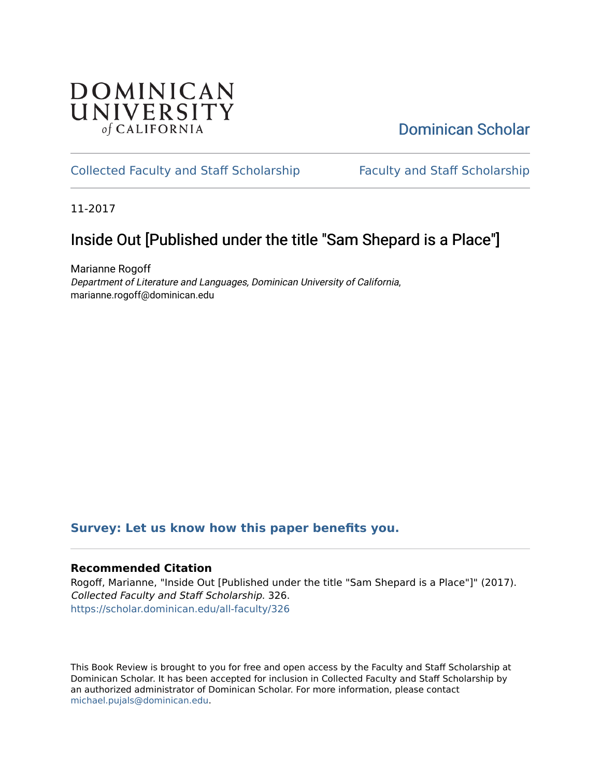## **DOMINICAN** UNIVERSITY of CALIFORNIA

# [Dominican Scholar](https://scholar.dominican.edu/)

## [Collected Faculty and Staff Scholarship](https://scholar.dominican.edu/all-faculty) [Faculty and Staff Scholarship](https://scholar.dominican.edu/faculty-scholarship)

11-2017

# Inside Out [Published under the title "Sam Shepard is a Place"]

Marianne Rogoff Department of Literature and Languages, Dominican University of California, marianne.rogoff@dominican.edu

### **[Survey: Let us know how this paper benefits you.](https://dominican.libwizard.com/dominican-scholar-feedback)**

#### **Recommended Citation**

Rogoff, Marianne, "Inside Out [Published under the title "Sam Shepard is a Place"]" (2017). Collected Faculty and Staff Scholarship. 326. [https://scholar.dominican.edu/all-faculty/326](https://scholar.dominican.edu/all-faculty/326?utm_source=scholar.dominican.edu%2Fall-faculty%2F326&utm_medium=PDF&utm_campaign=PDFCoverPages) 

This Book Review is brought to you for free and open access by the Faculty and Staff Scholarship at Dominican Scholar. It has been accepted for inclusion in Collected Faculty and Staff Scholarship by an authorized administrator of Dominican Scholar. For more information, please contact [michael.pujals@dominican.edu.](mailto:michael.pujals@dominican.edu)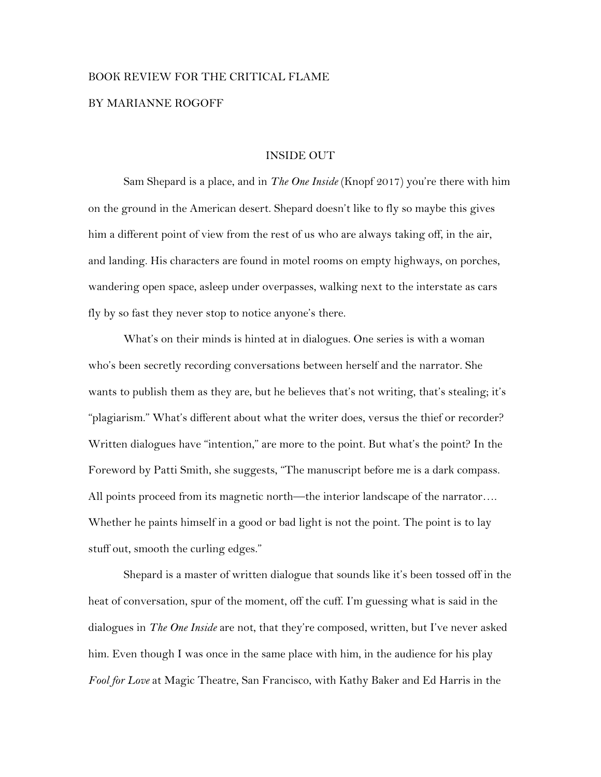# BOOK REVIEW FOR THE CRITICAL FLAME BY MARIANNE ROGOFF

#### INSIDE OUT

Sam Shepard is a place, and in *The One Inside* (Knopf 2017) you're there with him on the ground in the American desert. Shepard doesn't like to fly so maybe this gives him a different point of view from the rest of us who are always taking off, in the air, and landing. His characters are found in motel rooms on empty highways, on porches, wandering open space, asleep under overpasses, walking next to the interstate as cars fly by so fast they never stop to notice anyone's there.

What's on their minds is hinted at in dialogues. One series is with a woman who's been secretly recording conversations between herself and the narrator. She wants to publish them as they are, but he believes that's not writing, that's stealing; it's "plagiarism." What's different about what the writer does, versus the thief or recorder? Written dialogues have "intention," are more to the point. But what's the point? In the Foreword by Patti Smith, she suggests, "The manuscript before me is a dark compass. All points proceed from its magnetic north—the interior landscape of the narrator…. Whether he paints himself in a good or bad light is not the point. The point is to lay stuff out, smooth the curling edges."

Shepard is a master of written dialogue that sounds like it's been tossed off in the heat of conversation, spur of the moment, off the cuff. I'm guessing what is said in the dialogues in *The One Inside* are not, that they're composed, written, but I've never asked him. Even though I was once in the same place with him, in the audience for his play *Fool for Love* at Magic Theatre, San Francisco, with Kathy Baker and Ed Harris in the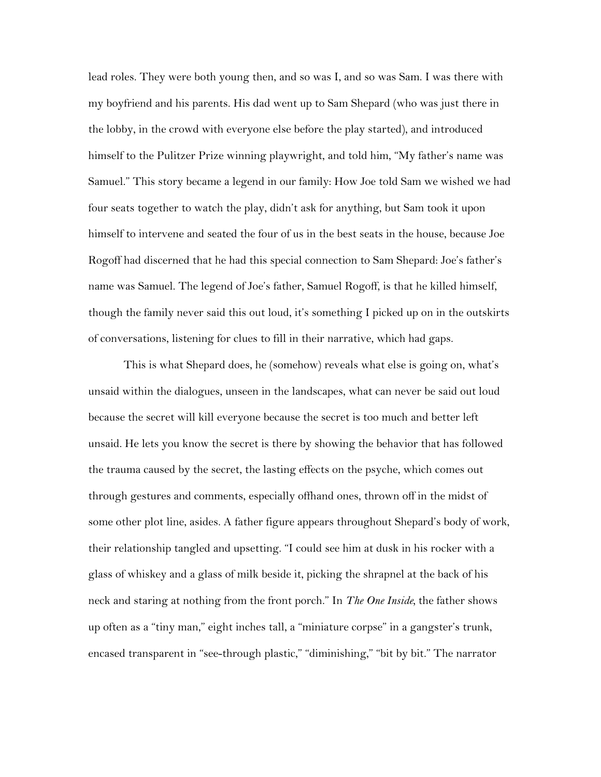lead roles. They were both young then, and so was I, and so was Sam. I was there with my boyfriend and his parents. His dad went up to Sam Shepard (who was just there in the lobby, in the crowd with everyone else before the play started), and introduced himself to the Pulitzer Prize winning playwright, and told him, "My father's name was Samuel." This story became a legend in our family: How Joe told Sam we wished we had four seats together to watch the play, didn't ask for anything, but Sam took it upon himself to intervene and seated the four of us in the best seats in the house, because Joe Rogoff had discerned that he had this special connection to Sam Shepard: Joe's father's name was Samuel. The legend of Joe's father, Samuel Rogoff, is that he killed himself, though the family never said this out loud, it's something I picked up on in the outskirts of conversations, listening for clues to fill in their narrative, which had gaps.

This is what Shepard does, he (somehow) reveals what else is going on, what's unsaid within the dialogues, unseen in the landscapes, what can never be said out loud because the secret will kill everyone because the secret is too much and better left unsaid. He lets you know the secret is there by showing the behavior that has followed the trauma caused by the secret, the lasting effects on the psyche, which comes out through gestures and comments, especially offhand ones, thrown off in the midst of some other plot line, asides. A father figure appears throughout Shepard's body of work, their relationship tangled and upsetting. "I could see him at dusk in his rocker with a glass of whiskey and a glass of milk beside it, picking the shrapnel at the back of his neck and staring at nothing from the front porch." In *The One Inside,* the father shows up often as a "tiny man," eight inches tall, a "miniature corpse" in a gangster's trunk, encased transparent in "see-through plastic," "diminishing," "bit by bit." The narrator